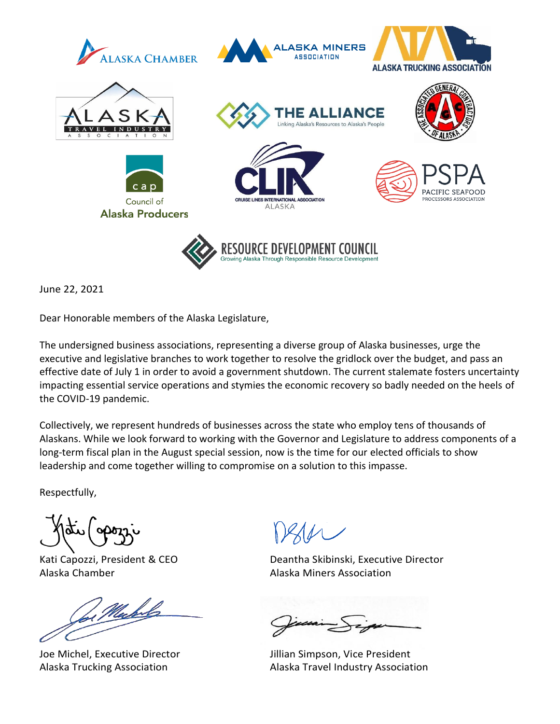

June 22, 2021

Dear Honorable members of the Alaska Legislature,

The undersigned business associations, representing a diverse group of Alaska businesses, urge the executive and legislative branches to work together to resolve the gridlock over the budget, and pass an effective date of July 1 in order to avoid a government shutdown. The current stalemate fosters uncertainty impacting essential service operations and stymies the economic recovery so badly needed on the heels of the COVID-19 pandemic.

Collectively, we represent hundreds of businesses across the state who employ tens of thousands of Alaskans. While we look forward to working with the Governor and Legislature to address components of a long-term fiscal plan in the August special session, now is the time for our elected officials to show leadership and come together willing to compromise on a solution to this impasse.

Respectfully,

Alaska Chamber **Alaska Miners Association** 

Joe Michel, Executive Director **Jillian Simpson, Vice President** 

Kati Capozzi, President & CEO Deantha Skibinski, Executive Director

Alaska Trucking Association **Alaska Travel Industry Association**